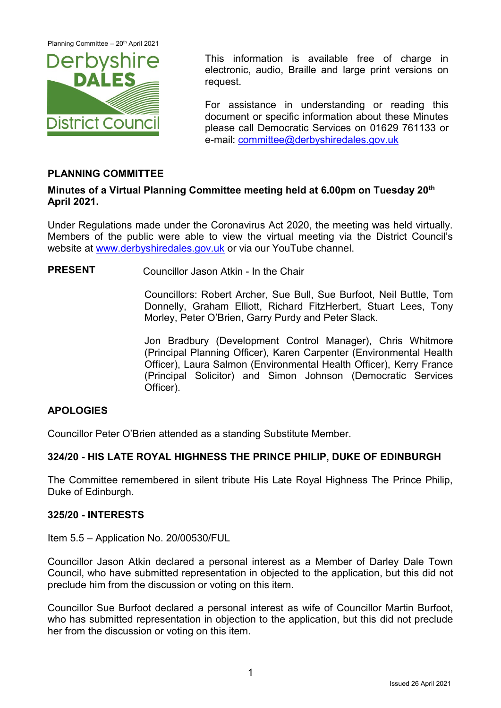Planning Committee - 20<sup>th</sup> April 2021



This information is available free of charge in electronic, audio, Braille and large print versions on request.

For assistance in understanding or reading this document or specific information about these Minutes please call Democratic Services on 01629 761133 or e-mail: [committee@derbyshiredales.gov.uk](mailto:committee@derbyshiredales.gov.uk)

# **PLANNING COMMITTEE**

### **Minutes of a Virtual Planning Committee meeting held at 6.00pm on Tuesday 20th April 2021.**

Under Regulations made under the Coronavirus Act 2020, the meeting was held virtually. Members of the public were able to view the virtual meeting via the District Council's website at [www.derbyshiredales.gov.uk](http://www.derbyshiredales.gov.uk/) or via our YouTube channel.

**PRESENT** Councillor Jason Atkin - In the Chair

Councillors: Robert Archer, Sue Bull, Sue Burfoot, Neil Buttle, Tom Donnelly, Graham Elliott, Richard FitzHerbert, Stuart Lees, Tony Morley, Peter O'Brien, Garry Purdy and Peter Slack.

Jon Bradbury (Development Control Manager), Chris Whitmore (Principal Planning Officer), Karen Carpenter (Environmental Health Officer), Laura Salmon (Environmental Health Officer), Kerry France (Principal Solicitor) and Simon Johnson (Democratic Services Officer).

### **APOLOGIES**

Councillor Peter O'Brien attended as a standing Substitute Member.

### **324/20 - HIS LATE ROYAL HIGHNESS THE PRINCE PHILIP, DUKE OF EDINBURGH**

The Committee remembered in silent tribute His Late Royal Highness The Prince Philip, Duke of Edinburgh.

#### **325/20 - INTERESTS**

Item 5.5 – Application No. 20/00530/FUL

Councillor Jason Atkin declared a personal interest as a Member of Darley Dale Town Council, who have submitted representation in objected to the application, but this did not preclude him from the discussion or voting on this item.

Councillor Sue Burfoot declared a personal interest as wife of Councillor Martin Burfoot, who has submitted representation in objection to the application, but this did not preclude her from the discussion or voting on this item.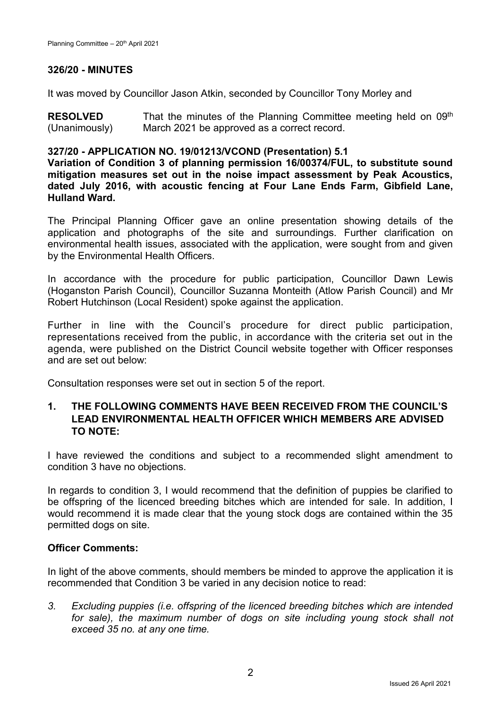# **326/20 - MINUTES**

It was moved by Councillor Jason Atkin, seconded by Councillor Tony Morley and

**RESOLVED** (Unanimously) That the minutes of the Planning Committee meeting held on 09<sup>th</sup> March 2021 be approved as a correct record.

### **327/20 - APPLICATION NO. 19/01213/VCOND (Presentation) 5.1**

**Variation of Condition 3 of planning permission 16/00374/FUL, to substitute sound mitigation measures set out in the noise impact assessment by Peak Acoustics, dated July 2016, with acoustic fencing at Four Lane Ends Farm, Gibfield Lane, Hulland Ward.**

The Principal Planning Officer gave an online presentation showing details of the application and photographs of the site and surroundings. Further clarification on environmental health issues, associated with the application, were sought from and given by the Environmental Health Officers.

In accordance with the procedure for public participation, Councillor Dawn Lewis (Hoganston Parish Council), Councillor Suzanna Monteith (Atlow Parish Council) and Mr Robert Hutchinson (Local Resident) spoke against the application.

Further in line with the Council's procedure for direct public participation, representations received from the public, in accordance with the criteria set out in the agenda, were published on the District Council website together with Officer responses and are set out below:

Consultation responses were set out in section 5 of the report.

# **1. THE FOLLOWING COMMENTS HAVE BEEN RECEIVED FROM THE COUNCIL'S LEAD ENVIRONMENTAL HEALTH OFFICER WHICH MEMBERS ARE ADVISED TO NOTE:**

I have reviewed the conditions and subject to a recommended slight amendment to condition 3 have no objections.

In regards to condition 3, I would recommend that the definition of puppies be clarified to be offspring of the licenced breeding bitches which are intended for sale. In addition, I would recommend it is made clear that the young stock dogs are contained within the 35 permitted dogs on site.

### **Officer Comments:**

In light of the above comments, should members be minded to approve the application it is recommended that Condition 3 be varied in any decision notice to read:

*3. Excluding puppies (i.e. offspring of the licenced breeding bitches which are intended*  for sale), the maximum number of dogs on site including young stock shall not *exceed 35 no. at any one time.*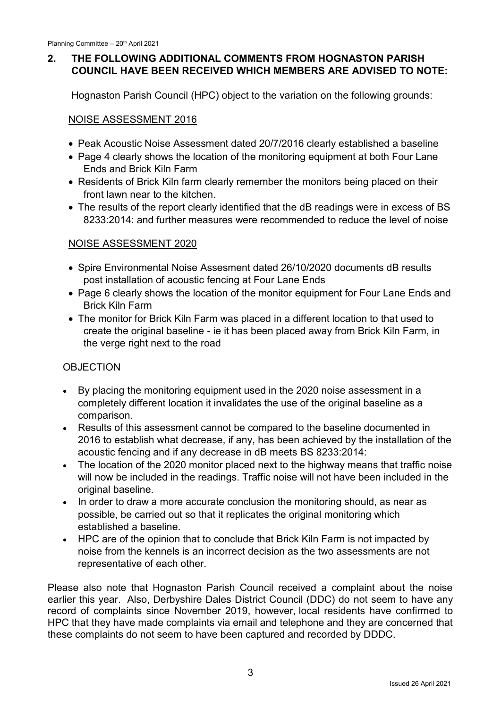# **2. THE FOLLOWING ADDITIONAL COMMENTS FROM HOGNASTON PARISH COUNCIL HAVE BEEN RECEIVED WHICH MEMBERS ARE ADVISED TO NOTE:**

Hognaston Parish Council (HPC) object to the variation on the following grounds:

# NOISE ASSESSMENT 2016

- Peak Acoustic Noise Assessment dated 20/7/2016 clearly established a baseline
- Page 4 clearly shows the location of the monitoring equipment at both Four Lane Ends and Brick Kiln Farm
- Residents of Brick Kiln farm clearly remember the monitors being placed on their front lawn near to the kitchen.
- The results of the report clearly identified that the dB readings were in excess of BS 8233:2014: and further measures were recommended to reduce the level of noise

# NOISE ASSESSMENT 2020

- Spire Environmental Noise Assesment dated 26/10/2020 documents dB results post installation of acoustic fencing at Four Lane Ends
- Page 6 clearly shows the location of the monitor equipment for Four Lane Ends and Brick Kiln Farm
- The monitor for Brick Kiln Farm was placed in a different location to that used to create the original baseline - ie it has been placed away from Brick Kiln Farm, in the verge right next to the road

# **OBJECTION**

- By placing the monitoring equipment used in the 2020 noise assessment in a completely different location it invalidates the use of the original baseline as a comparison.
- Results of this assessment cannot be compared to the baseline documented in 2016 to establish what decrease, if any, has been achieved by the installation of the acoustic fencing and if any decrease in dB meets BS 8233:2014:
- The location of the 2020 monitor placed next to the highway means that traffic noise will now be included in the readings. Traffic noise will not have been included in the original baseline.
- In order to draw a more accurate conclusion the monitoring should, as near as possible, be carried out so that it replicates the original monitoring which established a baseline.
- HPC are of the opinion that to conclude that Brick Kiln Farm is not impacted by noise from the kennels is an incorrect decision as the two assessments are not representative of each other.

Please also note that Hognaston Parish Council received a complaint about the noise earlier this year. Also, Derbyshire Dales District Council (DDC) do not seem to have any record of complaints since November 2019, however, local residents have confirmed to HPC that they have made complaints via email and telephone and they are concerned that these complaints do not seem to have been captured and recorded by DDDC.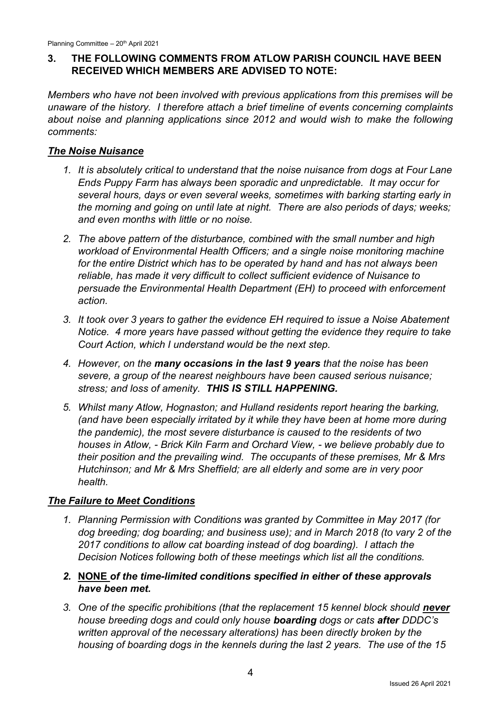# **3. THE FOLLOWING COMMENTS FROM ATLOW PARISH COUNCIL HAVE BEEN RECEIVED WHICH MEMBERS ARE ADVISED TO NOTE:**

*Members who have not been involved with previous applications from this premises will be unaware of the history. I therefore attach a brief timeline of events concerning complaints*  about noise and planning applications since 2012 and would wish to make the following *comments:*

# *The Noise Nuisance*

- *1. It is absolutely critical to understand that the noise nuisance from dogs at Four Lane Ends Puppy Farm has always been sporadic and unpredictable. It may occur for several hours, days or even several weeks, sometimes with barking starting early in the morning and going on until late at night. There are also periods of days; weeks; and even months with little or no noise.*
- *2. The above pattern of the disturbance, combined with the small number and high workload of Environmental Health Officers; and a single noise monitoring machine for the entire District which has to be operated by hand and has not always been reliable, has made it very difficult to collect sufficient evidence of Nuisance to persuade the Environmental Health Department (EH) to proceed with enforcement action.*
- *3. It took over 3 years to gather the evidence EH required to issue a Noise Abatement Notice. 4 more years have passed without getting the evidence they require to take Court Action, which I understand would be the next step.*
- *4. However, on the many occasions in the last 9 years that the noise has been severe, a group of the nearest neighbours have been caused serious nuisance; stress; and loss of amenity. THIS IS STILL HAPPENING.*
- *5. Whilst many Atlow, Hognaston; and Hulland residents report hearing the barking, (and have been especially irritated by it while they have been at home more during the pandemic), the most severe disturbance is caused to the residents of two houses in Atlow, - Brick Kiln Farm and Orchard View, - we believe probably due to their position and the prevailing wind. The occupants of these premises, Mr & Mrs Hutchinson; and Mr & Mrs Sheffield; are all elderly and some are in very poor health.*

# *The Failure to Meet Conditions*

- *1. Planning Permission with Conditions was granted by Committee in May 2017 (for dog breeding; dog boarding; and business use); and in March 2018 (to vary 2 of the 2017 conditions to allow cat boarding instead of dog boarding). I attach the Decision Notices following both of these meetings which list all the conditions.*
- *2.* **NONE** *of the time-limited conditions specified in either of these approvals have been met.*
- 3. One of the specific prohibitions (that the replacement 15 kennel block should never *house breeding dogs and could only house boarding dogs or cats after DDDC's written approval of the necessary alterations) has been directly broken by the housing of boarding dogs in the kennels during the last 2 years. The use of the 15*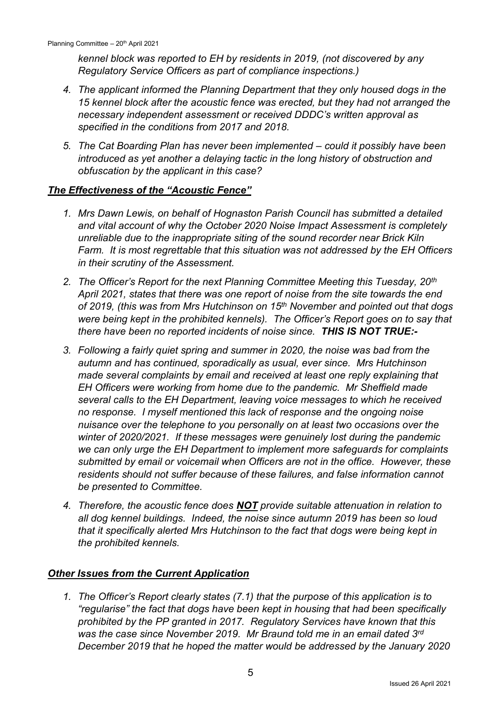*kennel block was reported to EH by residents in 2019, (not discovered by any Regulatory Service Officers as part of compliance inspections.)*

- *4. The applicant informed the Planning Department that they only housed dogs in the 15 kennel block after the acoustic fence was erected, but they had not arranged the necessary independent assessment or received DDDC's written approval as specified in the conditions from 2017 and 2018.*
- *5. The Cat Boarding Plan has never been implemented – could it possibly have been introduced as yet another a delaying tactic in the long history of obstruction and obfuscation by the applicant in this case?*

# *The Effectiveness of the "Acoustic Fence"*

- *1. Mrs Dawn Lewis, on behalf of Hognaston Parish Council has submitted a detailed and vital account of why the October 2020 Noise Impact Assessment is completely unreliable due to the inappropriate siting of the sound recorder near Brick Kiln Farm. It is most regrettable that this situation was not addressed by the EH Officers in their scrutiny of the Assessment.*
- *2. The Officer's Report for the next Planning Committee Meeting this Tuesday, 20th April 2021, states that there was one report of noise from the site towards the end of 2019, (this was from Mrs Hutchinson on 15th November and pointed out that dogs were being kept in the prohibited kennels). The Officer's Report goes on to say that there have been no reported incidents of noise since. THIS IS NOT TRUE:-*
- *3. Following a fairly quiet spring and summer in 2020, the noise was bad from the autumn and has continued, sporadically as usual, ever since. Mrs Hutchinson made several complaints by email and received at least one reply explaining that EH Officers were working from home due to the pandemic. Mr Sheffield made several calls to the EH Department, leaving voice messages to which he received no response. I myself mentioned this lack of response and the ongoing noise nuisance over the telephone to you personally on at least two occasions over the winter of 2020/2021. If these messages were genuinely lost during the pandemic we can only urge the EH Department to implement more safeguards for complaints submitted by email or voicemail when Officers are not in the office. However, these residents should not suffer because of these failures, and false information cannot be presented to Committee.*
- *4. Therefore, the acoustic fence does NOT provide suitable attenuation in relation to all dog kennel buildings. Indeed, the noise since autumn 2019 has been so loud that it specifically alerted Mrs Hutchinson to the fact that dogs were being kept in the prohibited kennels.*

### *Other Issues from the Current Application*

1. The Officer's Report clearly states (7.1) that the purpose of this application is to *"regularise" the fact that dogs have been kept in housing that had been specifically prohibited by the PP granted in 2017. Regulatory Services have known that this was the case since November 2019. Mr Braund told me in an email dated 3rd December 2019 that he hoped the matter would be addressed by the January 2020*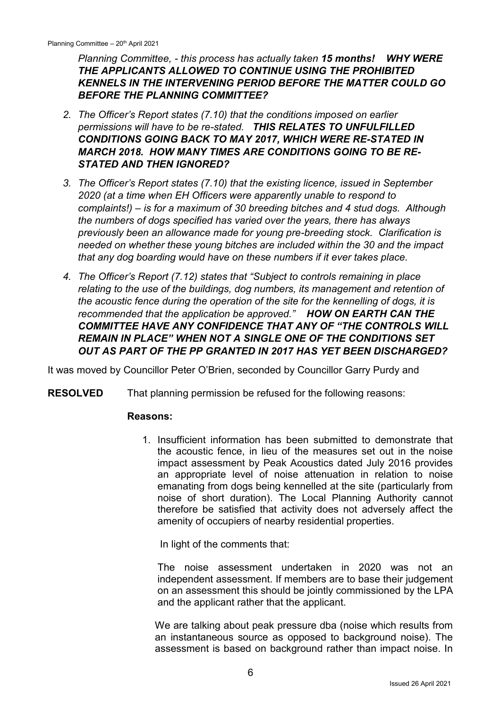*Planning Committee, - this process has actually taken 15 months! WHY WERE THE APPLICANTS ALLOWED TO CONTINUE USING THE PROHIBITED KENNELS IN THE INTERVENING PERIOD BEFORE THE MATTER COULD GO BEFORE THE PLANNING COMMITTEE?*

- *2. The Officer's Report states (7.10) that the conditions imposed on earlier permissions will have to be re-stated. THIS RELATES TO UNFULFILLED CONDITIONS GOING BACK TO MAY 2017, WHICH WERE RE-STATED IN MARCH 2018. HOW MANY TIMES ARE CONDITIONS GOING TO BE RE-STATED AND THEN IGNORED?*
- *3. The Officer's Report states (7.10) that the existing licence, issued in September 2020 (at a time when EH Officers were apparently unable to respond to complaints!) – is for a maximum of 30 breeding bitches and 4 stud dogs. Although the numbers of dogs specified has varied over the years, there has always previously been an allowance made for young pre-breeding stock. Clarification is needed on whether these young bitches are included within the 30 and the impact that any dog boarding would have on these numbers if it ever takes place.*
- *4. The Officer's Report (7.12) states that "Subject to controls remaining in place relating to the use of the buildings, dog numbers, its management and retention of the acoustic fence during the operation of the site for the kennelling of dogs, it is recommended that the application be approved." HOW ON EARTH CAN THE COMMITTEE HAVE ANY CONFIDENCE THAT ANY OF "THE CONTROLS WILL REMAIN IN PLACE" WHEN NOT A SINGLE ONE OF THE CONDITIONS SET OUT AS PART OF THE PP GRANTED IN 2017 HAS YET BEEN DISCHARGED?*

It was moved by Councillor Peter O'Brien, seconded by Councillor Garry Purdy and

**RESOLVED** That planning permission be refused for the following reasons:

#### **Reasons:**

1. Insufficient information has been submitted to demonstrate that the acoustic fence, in lieu of the measures set out in the noise impact assessment by Peak Acoustics dated July 2016 provides an appropriate level of noise attenuation in relation to noise emanating from dogs being kennelled at the site (particularly from noise of short duration). The Local Planning Authority cannot therefore be satisfied that activity does not adversely affect the amenity of occupiers of nearby residential properties.

In light of the comments that:

The noise assessment undertaken in 2020 was not an independent assessment. If members are to base their judgement on an assessment this should be jointly commissioned by the LPA and the applicant rather that the applicant.

We are talking about peak pressure dba (noise which results from an instantaneous source as opposed to background noise). The assessment is based on background rather than impact noise. In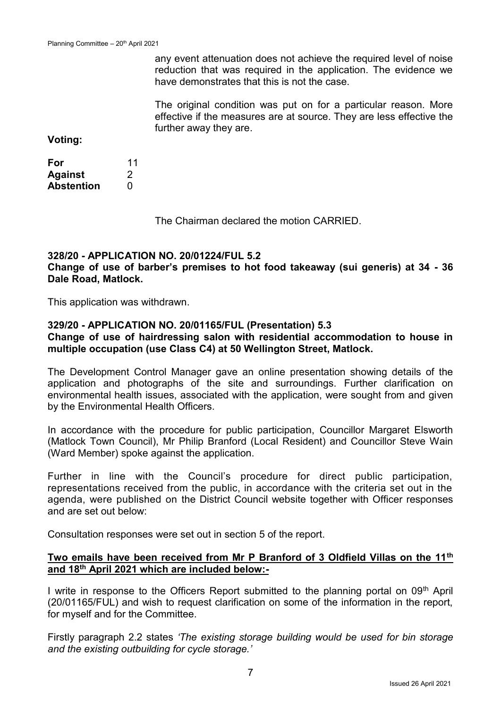any event attenuation does not achieve the required level of noise reduction that was required in the application. The evidence we have demonstrates that this is not the case.

The original condition was put on for a particular reason. More effective if the measures are at source. They are less effective the further away they are.

**Voting:**

| For            | 11 |
|----------------|----|
| <b>Against</b> | 2  |
| Abstention     | O  |

The Chairman declared the motion CARRIED.

# **328/20 - APPLICATION NO. 20/01224/FUL 5.2**

**Change of use of barber's premises to hot food takeaway (sui generis) at 34 - 36 Dale Road, Matlock.**

This application was withdrawn.

### **329/20 - APPLICATION NO. 20/01165/FUL (Presentation) 5.3**

### **Change of use of hairdressing salon with residential accommodation to house in multiple occupation (use Class C4) at 50 Wellington Street, Matlock.**

The Development Control Manager gave an online presentation showing details of the application and photographs of the site and surroundings. Further clarification on environmental health issues, associated with the application, were sought from and given by the Environmental Health Officers.

In accordance with the procedure for public participation, Councillor Margaret Elsworth (Matlock Town Council), Mr Philip Branford (Local Resident) and Councillor Steve Wain (Ward Member) spoke against the application.

Further in line with the Council's procedure for direct public participation, representations received from the public, in accordance with the criteria set out in the agenda, were published on the District Council website together with Officer responses and are set out below:

Consultation responses were set out in section 5 of the report.

### **Two emails have been received from Mr P Branford of 3 Oldfield Villas on the 11th and 18th April 2021 which are included below:-**

I write in response to the Officers Report submitted to the planning portal on 09<sup>th</sup> April (20/01165/FUL) and wish to request clarification on some of the information in the report, for myself and for the Committee.

Firstly paragraph 2.2 states *'The existing storage building would be used for bin storage and the existing outbuilding for cycle storage.'*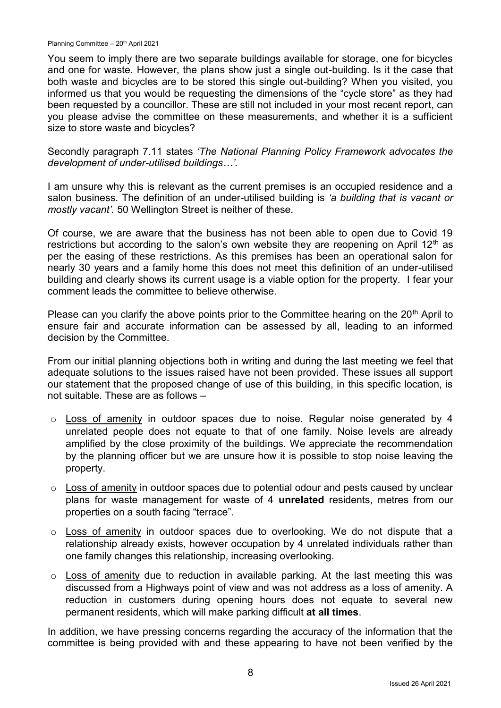Planning Committee – 20<sup>th</sup> April 2021

You seem to imply there are two separate buildings available for storage, one for bicycles and one for waste. However, the plans show just a single out-building. Is it the case that both waste and bicycles are to be stored this single out-building? When you visited, you informed us that you would be requesting the dimensions of the "cycle store" as they had been requested by a councillor. These are still not included in your most recent report, can you please advise the committee on these measurements, and whether it is a sufficient size to store waste and bicycles?

Secondly paragraph 7.11 states *'The National Planning Policy Framework advocates the development of under-utilised buildings…'.*

I am unsure why this is relevant as the current premises is an occupied residence and a salon business. The definition of an under-utilised building is *'a building that is vacant or mostly vacant'.* 50 Wellington Street is neither of these.

Of course, we are aware that the business has not been able to open due to Covid 19 restrictions but according to the salon's own website they are reopening on April  $12<sup>th</sup>$  as per the easing of these restrictions. As this premises has been an operational salon for nearly 30 years and a family home this does not meet this definition of an under-utilised building and clearly shows its current usage is a viable option for the property. I fear your comment leads the committee to believe otherwise.

Please can you clarify the above points prior to the Committee hearing on the  $20<sup>th</sup>$  April to ensure fair and accurate information can be assessed by all, leading to an informed decision by the Committee.

From our initial planning objections both in writing and during the last meeting we feel that adequate solutions to the issues raised have not been provided. These issues all support our statement that the proposed change of use of this building, in this specific location, is not suitable. These are as follows –

- o Loss of amenity in outdoor spaces due to noise. Regular noise generated by 4 unrelated people does not equate to that of one family. Noise levels are already amplified by the close proximity of the buildings. We appreciate the recommendation by the planning officer but we are unsure how it is possible to stop noise leaving the property.
- o Loss of amenity in outdoor spaces due to potential odour and pests caused by unclear plans for waste management for waste of 4 **unrelated** residents, metres from our properties on a south facing "terrace".
- o Loss of amenity in outdoor spaces due to overlooking. We do not dispute that a relationship already exists, however occupation by 4 unrelated individuals rather than one family changes this relationship, increasing overlooking.
- $\circ$  Loss of amenity due to reduction in available parking. At the last meeting this was discussed from a Highways point of view and was not address as a loss of amenity. A reduction in customers during opening hours does not equate to several new permanent residents, which will make parking difficult **at all times**.

In addition, we have pressing concerns regarding the accuracy of the information that the committee is being provided with and these appearing to have not been verified by the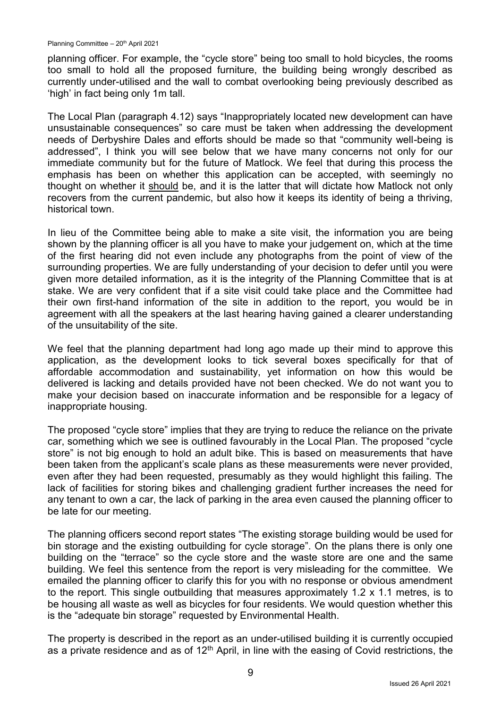planning officer. For example, the "cycle store" being too small to hold bicycles, the rooms too small to hold all the proposed furniture, the building being wrongly described as currently under-utilised and the wall to combat overlooking being previously described as 'high' in fact being only 1m tall.

The Local Plan (paragraph 4.12) says "Inappropriately located new development can have unsustainable consequences" so care must be taken when addressing the development needs of Derbyshire Dales and efforts should be made so that "community well-being is addressed", I think you will see below that we have many concerns not only for our immediate community but for the future of Matlock. We feel that during this process the emphasis has been on whether this application can be accepted, with seemingly no thought on whether it should be, and it is the latter that will dictate how Matlock not only recovers from the current pandemic, but also how it keeps its identity of being a thriving, historical town.

In lieu of the Committee being able to make a site visit, the information you are being shown by the planning officer is all you have to make your judgement on, which at the time of the first hearing did not even include any photographs from the point of view of the surrounding properties. We are fully understanding of your decision to defer until you were given more detailed information, as it is the integrity of the Planning Committee that is at stake. We are very confident that if a site visit could take place and the Committee had their own first-hand information of the site in addition to the report, you would be in agreement with all the speakers at the last hearing having gained a clearer understanding of the unsuitability of the site.

We feel that the planning department had long ago made up their mind to approve this application, as the development looks to tick several boxes specifically for that of affordable accommodation and sustainability, yet information on how this would be delivered is lacking and details provided have not been checked. We do not want you to make your decision based on inaccurate information and be responsible for a legacy of inappropriate housing.

The proposed "cycle store" implies that they are trying to reduce the reliance on the private car, something which we see is outlined favourably in the Local Plan. The proposed "cycle store" is not big enough to hold an adult bike. This is based on measurements that have been taken from the applicant's scale plans as these measurements were never provided, even after they had been requested, presumably as they would highlight this failing. The lack of facilities for storing bikes and challenging gradient further increases the need for any tenant to own a car, the lack of parking in the area even caused the planning officer to be late for our meeting.

The planning officers second report states "The existing storage building would be used for bin storage and the existing outbuilding for cycle storage". On the plans there is only one building on the "terrace" so the cycle store and the waste store are one and the same building. We feel this sentence from the report is very misleading for the committee. We emailed the planning officer to clarify this for you with no response or obvious amendment to the report. This single outbuilding that measures approximately 1.2 x 1.1 metres, is to be housing all waste as well as bicycles for four residents. We would question whether this is the "adequate bin storage" requested by Environmental Health.

The property is described in the report as an under-utilised building it is currently occupied as a private residence and as of  $12<sup>th</sup>$  April, in line with the easing of Covid restrictions, the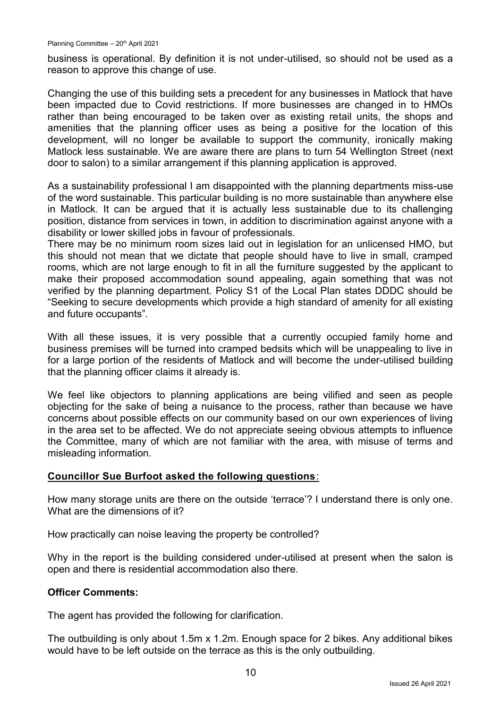business is operational. By definition it is not under-utilised, so should not be used as a reason to approve this change of use.

Changing the use of this building sets a precedent for any businesses in Matlock that have been impacted due to Covid restrictions. If more businesses are changed in to HMOs rather than being encouraged to be taken over as existing retail units, the shops and amenities that the planning officer uses as being a positive for the location of this development, will no longer be available to support the community, ironically making Matlock less sustainable. We are aware there are plans to turn 54 Wellington Street (next door to salon) to a similar arrangement if this planning application is approved.

As a sustainability professional I am disappointed with the planning departments miss-use of the word sustainable. This particular building is no more sustainable than anywhere else in Matlock. It can be argued that it is actually less sustainable due to its challenging position, distance from services in town, in addition to discrimination against anyone with a disability or lower skilled jobs in favour of professionals.

There may be no minimum room sizes laid out in legislation for an unlicensed HMO, but this should not mean that we dictate that people should have to live in small, cramped rooms, which are not large enough to fit in all the furniture suggested by the applicant to make their proposed accommodation sound appealing, again something that was not verified by the planning department. Policy S1 of the Local Plan states DDDC should be "Seeking to secure developments which provide a high standard of amenity for all existing and future occupants".

With all these issues, it is very possible that a currently occupied family home and business premises will be turned into cramped bedsits which will be unappealing to live in for a large portion of the residents of Matlock and will become the under-utilised building that the planning officer claims it already is.

We feel like objectors to planning applications are being vilified and seen as people objecting for the sake of being a nuisance to the process, rather than because we have concerns about possible effects on our community based on our own experiences of living in the area set to be affected. We do not appreciate seeing obvious attempts to influence the Committee, many of which are not familiar with the area, with misuse of terms and misleading information.

### **Councillor Sue Burfoot asked the following questions**:

How many storage units are there on the outside 'terrace'? I understand there is only one. What are the dimensions of it?

How practically can noise leaving the property be controlled?

Why in the report is the building considered under-utilised at present when the salon is open and there is residential accommodation also there.

#### **Officer Comments:**

The agent has provided the following for clarification.

The outbuilding is only about 1.5m x 1.2m. Enough space for 2 bikes. Any additional bikes would have to be left outside on the terrace as this is the only outbuilding.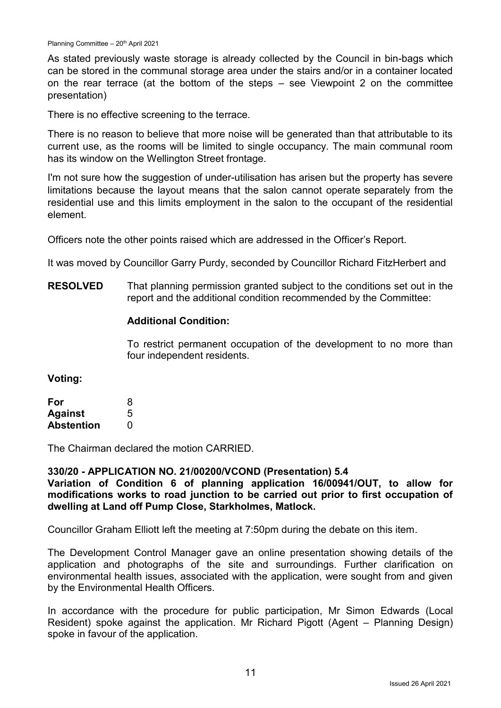As stated previously waste storage is already collected by the Council in bin-bags which can be stored in the communal storage area under the stairs and/or in a container located on the rear terrace (at the bottom of the steps – see Viewpoint 2 on the committee presentation)

There is no effective screening to the terrace.

There is no reason to believe that more noise will be generated than that attributable to its current use, as the rooms will be limited to single occupancy. The main communal room has its window on the Wellington Street frontage.

I'm not sure how the suggestion of under-utilisation has arisen but the property has severe limitations because the layout means that the salon cannot operate separately from the residential use and this limits employment in the salon to the occupant of the residential element.

Officers note the other points raised which are addressed in the Officer's Report.

It was moved by Councillor Garry Purdy, seconded by Councillor Richard FitzHerbert and

**RESOLVED** That planning permission granted subject to the conditions set out in the report and the additional condition recommended by the Committee:

### **Additional Condition:**

To restrict permanent occupation of the development to no more than four independent residents.

#### **Voting:**

| For               | 8 |
|-------------------|---|
| <b>Against</b>    | 5 |
| <b>Abstention</b> | O |

The Chairman declared the motion CARRIED.

#### **330/20 - APPLICATION NO. 21/00200/VCOND (Presentation) 5.4**

**Variation of Condition 6 of planning application 16/00941/OUT, to allow for modifications works to road junction to be carried out prior to first occupation of dwelling at Land off Pump Close, Starkholmes, Matlock.**

Councillor Graham Elliott left the meeting at 7:50pm during the debate on this item.

The Development Control Manager gave an online presentation showing details of the application and photographs of the site and surroundings. Further clarification on environmental health issues, associated with the application, were sought from and given by the Environmental Health Officers.

In accordance with the procedure for public participation, Mr Simon Edwards (Local Resident) spoke against the application. Mr Richard Pigott (Agent – Planning Design) spoke in favour of the application.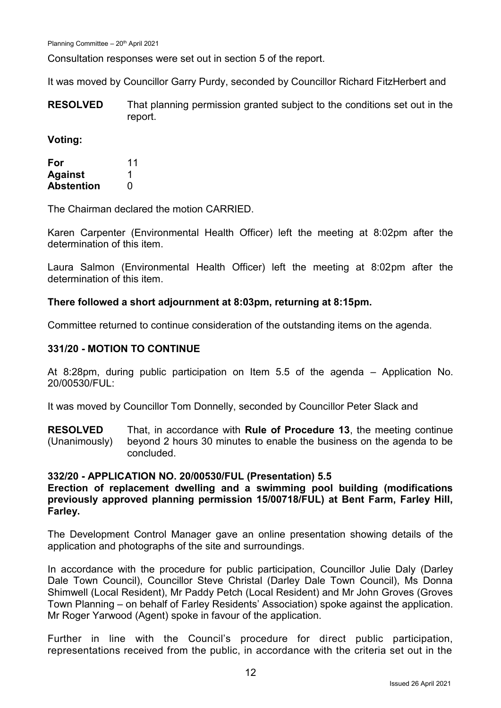Planning Committee - 20<sup>th</sup> April 2021

Consultation responses were set out in section 5 of the report.

It was moved by Councillor Garry Purdy, seconded by Councillor Richard FitzHerbert and

**RESOLVED** That planning permission granted subject to the conditions set out in the report.

**Voting:**

| For               | 11 |
|-------------------|----|
| <b>Against</b>    |    |
| <b>Abstention</b> | 0  |

The Chairman declared the motion CARRIED.

Karen Carpenter (Environmental Health Officer) left the meeting at 8:02pm after the determination of this item.

Laura Salmon (Environmental Health Officer) left the meeting at 8:02pm after the determination of this item.

### **There followed a short adjournment at 8:03pm, returning at 8:15pm.**

Committee returned to continue consideration of the outstanding items on the agenda.

### **331/20 - MOTION TO CONTINUE**

At 8:28pm, during public participation on Item 5.5 of the agenda – Application No. 20/00530/FUL:

It was moved by Councillor Tom Donnelly, seconded by Councillor Peter Slack and

**RESOLVED** (Unanimously) That, in accordance with **Rule of Procedure 13**, the meeting continue beyond 2 hours 30 minutes to enable the business on the agenda to be concluded.

#### **332/20 - APPLICATION NO. 20/00530/FUL (Presentation) 5.5**

### **Erection of replacement dwelling and a swimming pool building (modifications previously approved planning permission 15/00718/FUL) at Bent Farm, Farley Hill, Farley.**

The Development Control Manager gave an online presentation showing details of the application and photographs of the site and surroundings.

In accordance with the procedure for public participation, Councillor Julie Daly (Darley Dale Town Council), Councillor Steve Christal (Darley Dale Town Council), Ms Donna Shimwell (Local Resident), Mr Paddy Petch (Local Resident) and Mr John Groves (Groves Town Planning – on behalf of Farley Residents' Association) spoke against the application. Mr Roger Yarwood (Agent) spoke in favour of the application.

Further in line with the Council's procedure for direct public participation, representations received from the public, in accordance with the criteria set out in the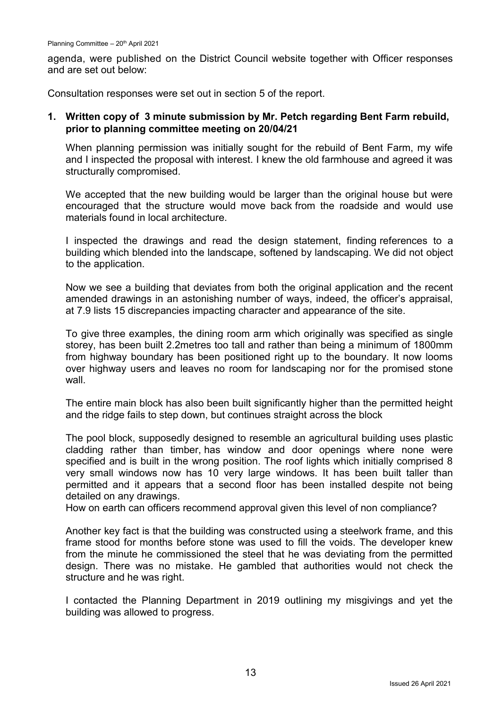agenda, were published on the District Council website together with Officer responses and are set out below:

Consultation responses were set out in section 5 of the report.

### **1. Written copy of 3 minute submission by Mr. Petch regarding Bent Farm rebuild, prior to planning committee meeting on 20/04/21**

When planning permission was initially sought for the rebuild of Bent Farm, my wife and I inspected the proposal with interest. I knew the old farmhouse and agreed it was structurally compromised.

We accepted that the new building would be larger than the original house but were encouraged that the structure would move back from the roadside and would use materials found in local architecture.

I inspected the drawings and read the design statement, finding references to a building which blended into the landscape, softened by landscaping. We did not object to the application.

Now we see a building that deviates from both the original application and the recent amended drawings in an astonishing number of ways, indeed, the officer's appraisal, at 7.9 lists 15 discrepancies impacting character and appearance of the site.

To give three examples, the dining room arm which originally was specified as single storey, has been built 2.2metres too tall and rather than being a minimum of 1800mm from highway boundary has been positioned right up to the boundary. It now looms over highway users and leaves no room for landscaping nor for the promised stone wall.

The entire main block has also been built significantly higher than the permitted height and the ridge fails to step down, but continues straight across the block

The pool block, supposedly designed to resemble an agricultural building uses plastic cladding rather than timber, has window and door openings where none were specified and is built in the wrong position. The roof lights which initially comprised 8 very small windows now has 10 very large windows. It has been built taller than permitted and it appears that a second floor has been installed despite not being detailed on any drawings.

How on earth can officers recommend approval given this level of non compliance?

Another key fact is that the building was constructed using a steelwork frame, and this frame stood for months before stone was used to fill the voids. The developer knew from the minute he commissioned the steel that he was deviating from the permitted design. There was no mistake. He gambled that authorities would not check the structure and he was right.

I contacted the Planning Department in 2019 outlining my misgivings and yet the building was allowed to progress.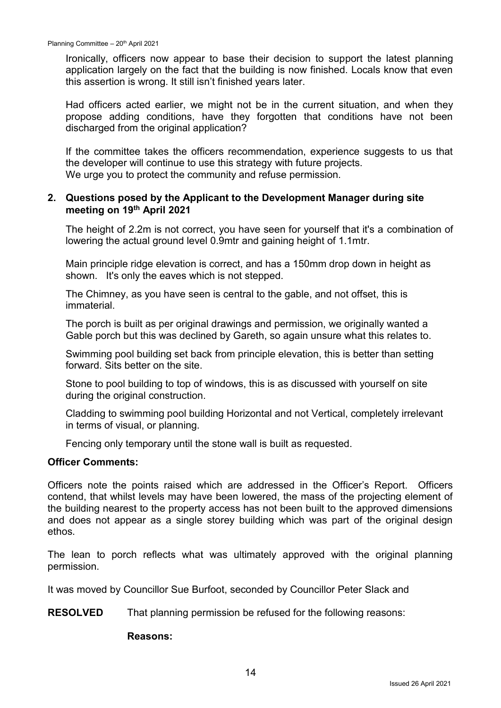Ironically, officers now appear to base their decision to support the latest planning application largely on the fact that the building is now finished. Locals know that even this assertion is wrong. It still isn't finished years later.

Had officers acted earlier, we might not be in the current situation, and when they propose adding conditions, have they forgotten that conditions have not been discharged from the original application?

If the committee takes the officers recommendation, experience suggests to us that the developer will continue to use this strategy with future projects. We urge you to protect the community and refuse permission.

### **2. Questions posed by the Applicant to the Development Manager during site meeting on 19th April 2021**

The height of 2.2m is not correct, you have seen for yourself that it's a combination of lowering the actual ground level 0.9mtr and gaining height of 1.1mtr.

Main principle ridge elevation is correct, and has a 150mm drop down in height as shown. It's only the eaves which is not stepped.

The Chimney, as you have seen is central to the gable, and not offset, this is immaterial.

The porch is built as per original drawings and permission, we originally wanted a Gable porch but this was declined by Gareth, so again unsure what this relates to.

Swimming pool building set back from principle elevation, this is better than setting forward. Sits better on the site.

Stone to pool building to top of windows, this is as discussed with yourself on site during the original construction.

Cladding to swimming pool building Horizontal and not Vertical, completely irrelevant in terms of visual, or planning.

Fencing only temporary until the stone wall is built as requested.

#### **Officer Comments:**

Officers note the points raised which are addressed in the Officer's Report. Officers contend, that whilst levels may have been lowered, the mass of the projecting element of the building nearest to the property access has not been built to the approved dimensions and does not appear as a single storey building which was part of the original design ethos.

The lean to porch reflects what was ultimately approved with the original planning permission.

It was moved by Councillor Sue Burfoot, seconded by Councillor Peter Slack and

**RESOLVED** That planning permission be refused for the following reasons:

#### **Reasons:**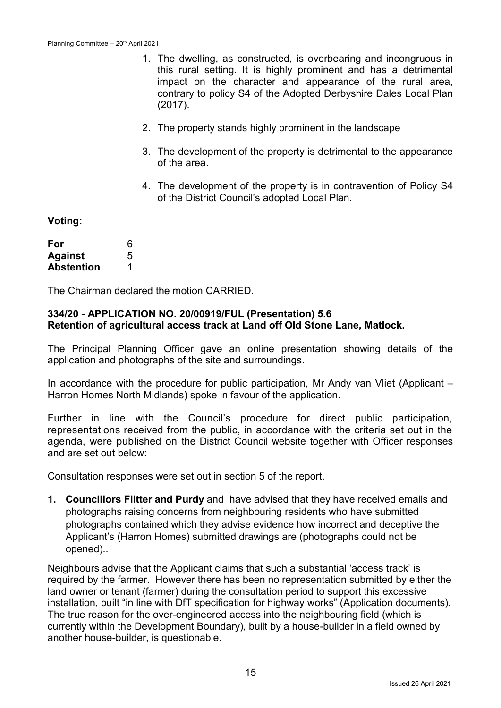- 1. The dwelling, as constructed, is overbearing and incongruous in this rural setting. It is highly prominent and has a detrimental impact on the character and appearance of the rural area, contrary to policy S4 of the Adopted Derbyshire Dales Local Plan (2017).
- 2. The property stands highly prominent in the landscape
- 3. The development of the property is detrimental to the appearance of the area.
- 4. The development of the property is in contravention of Policy S4 of the District Council's adopted Local Plan.

#### **Voting:**

| For               | 6 |
|-------------------|---|
| <b>Against</b>    | 5 |
| <b>Abstention</b> |   |

The Chairman declared the motion CARRIED.

#### **334/20 - APPLICATION NO. 20/00919/FUL (Presentation) 5.6 Retention of agricultural access track at Land off Old Stone Lane, Matlock.**

The Principal Planning Officer gave an online presentation showing details of the application and photographs of the site and surroundings.

In accordance with the procedure for public participation, Mr Andy van Vliet (Applicant – Harron Homes North Midlands) spoke in favour of the application.

Further in line with the Council's procedure for direct public participation, representations received from the public, in accordance with the criteria set out in the agenda, were published on the District Council website together with Officer responses and are set out below:

Consultation responses were set out in section 5 of the report.

**1. Councillors Flitter and Purdy** and have advised that they have received emails and photographs raising concerns from neighbouring residents who have submitted photographs contained which they advise evidence how incorrect and deceptive the Applicant's (Harron Homes) submitted drawings are (photographs could not be opened)..

Neighbours advise that the Applicant claims that such a substantial 'access track' is required by the farmer. However there has been no representation submitted by either the land owner or tenant (farmer) during the consultation period to support this excessive installation, built "in line with DfT specification for highway works" (Application documents). The true reason for the over-engineered access into the neighbouring field (which is currently within the Development Boundary), built by a house-builder in a field owned by another house-builder, is questionable.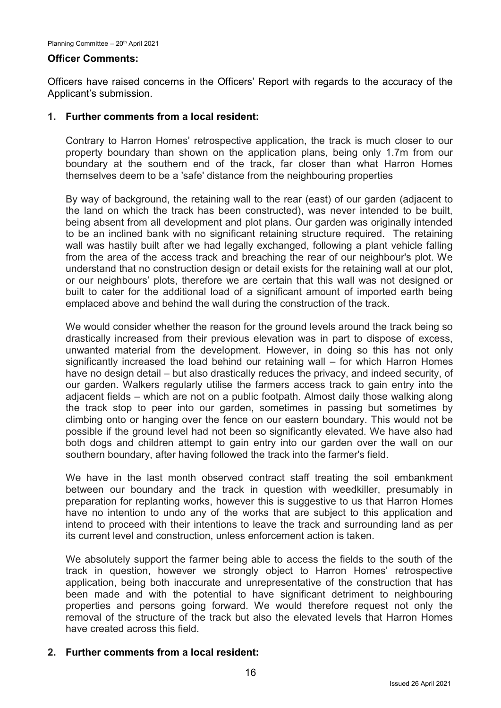#### **Officer Comments:**

Officers have raised concerns in the Officers' Report with regards to the accuracy of the Applicant's submission.

### **1. Further comments from a local resident:**

Contrary to Harron Homes' retrospective application, the track is much closer to our property boundary than shown on the application plans, being only 1.7m from our boundary at the southern end of the track, far closer than what Harron Homes themselves deem to be a 'safe' distance from the neighbouring properties

By way of background, the retaining wall to the rear (east) of our garden (adjacent to the land on which the track has been constructed), was never intended to be built, being absent from all development and plot plans. Our garden was originally intended to be an inclined bank with no significant retaining structure required. The retaining wall was hastily built after we had legally exchanged, following a plant vehicle falling from the area of the access track and breaching the rear of our neighbour's plot. We understand that no construction design or detail exists for the retaining wall at our plot, or our neighbours' plots, therefore we are certain that this wall was not designed or built to cater for the additional load of a significant amount of imported earth being emplaced above and behind the wall during the construction of the track.

We would consider whether the reason for the ground levels around the track being so drastically increased from their previous elevation was in part to dispose of excess, unwanted material from the development. However, in doing so this has not only significantly increased the load behind our retaining wall – for which Harron Homes have no design detail – but also drastically reduces the privacy, and indeed security, of our garden. Walkers regularly utilise the farmers access track to gain entry into the adjacent fields – which are not on a public footpath. Almost daily those walking along the track stop to peer into our garden, sometimes in passing but sometimes by climbing onto or hanging over the fence on our eastern boundary. This would not be possible if the ground level had not been so significantly elevated. We have also had both dogs and children attempt to gain entry into our garden over the wall on our southern boundary, after having followed the track into the farmer's field.

We have in the last month observed contract staff treating the soil embankment between our boundary and the track in question with weedkiller, presumably in preparation for replanting works, however this is suggestive to us that Harron Homes have no intention to undo any of the works that are subject to this application and intend to proceed with their intentions to leave the track and surrounding land as per its current level and construction, unless enforcement action is taken.

We absolutely support the farmer being able to access the fields to the south of the track in question, however we strongly object to Harron Homes' retrospective application, being both inaccurate and unrepresentative of the construction that has been made and with the potential to have significant detriment to neighbouring properties and persons going forward. We would therefore request not only the removal of the structure of the track but also the elevated levels that Harron Homes have created across this field.

### **2. Further comments from a local resident:**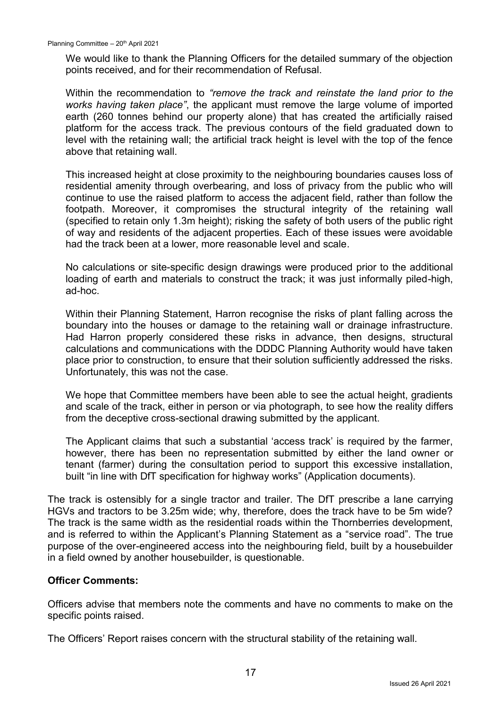We would like to thank the Planning Officers for the detailed summary of the objection points received, and for their recommendation of Refusal.

Within the recommendation to *"remove the track and reinstate the land prior to the works having taken place"*, the applicant must remove the large volume of imported earth (260 tonnes behind our property alone) that has created the artificially raised platform for the access track. The previous contours of the field graduated down to level with the retaining wall; the artificial track height is level with the top of the fence above that retaining wall.

This increased height at close proximity to the neighbouring boundaries causes loss of residential amenity through overbearing, and loss of privacy from the public who will continue to use the raised platform to access the adjacent field, rather than follow the footpath. Moreover, it compromises the structural integrity of the retaining wall (specified to retain only 1.3m height); risking the safety of both users of the public right of way and residents of the adjacent properties. Each of these issues were avoidable had the track been at a lower, more reasonable level and scale.

No calculations or site-specific design drawings were produced prior to the additional loading of earth and materials to construct the track; it was just informally piled-high, ad-hoc.

Within their Planning Statement, Harron recognise the risks of plant falling across the boundary into the houses or damage to the retaining wall or drainage infrastructure. Had Harron properly considered these risks in advance, then designs, structural calculations and communications with the DDDC Planning Authority would have taken place prior to construction, to ensure that their solution sufficiently addressed the risks. Unfortunately, this was not the case.

We hope that Committee members have been able to see the actual height, gradients and scale of the track, either in person or via photograph, to see how the reality differs from the deceptive cross-sectional drawing submitted by the applicant.

The Applicant claims that such a substantial 'access track' is required by the farmer, however, there has been no representation submitted by either the land owner or tenant (farmer) during the consultation period to support this excessive installation, built "in line with DfT specification for highway works" (Application documents).

The track is ostensibly for a single tractor and trailer. The DfT prescribe a lane carrying HGVs and tractors to be 3.25m wide; why, therefore, does the track have to be 5m wide? The track is the same width as the residential roads within the Thornberries development, and is referred to within the Applicant's Planning Statement as a "service road". The true purpose of the over-engineered access into the neighbouring field, built by a housebuilder in a field owned by another housebuilder, is questionable.

### **Officer Comments:**

Officers advise that members note the comments and have no comments to make on the specific points raised.

The Officers' Report raises concern with the structural stability of the retaining wall.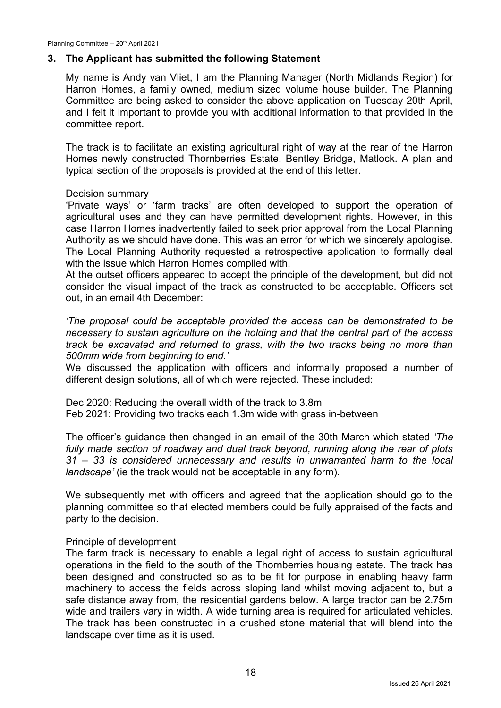### **3. The Applicant has submitted the following Statement**

My name is Andy van Vliet, I am the Planning Manager (North Midlands Region) for Harron Homes, a family owned, medium sized volume house builder. The Planning Committee are being asked to consider the above application on Tuesday 20th April, and I felt it important to provide you with additional information to that provided in the committee report.

The track is to facilitate an existing agricultural right of way at the rear of the Harron Homes newly constructed Thornberries Estate, Bentley Bridge, Matlock. A plan and typical section of the proposals is provided at the end of this letter.

### Decision summary

'Private ways' or 'farm tracks' are often developed to support the operation of agricultural uses and they can have permitted development rights. However, in this case Harron Homes inadvertently failed to seek prior approval from the Local Planning Authority as we should have done. This was an error for which we sincerely apologise. The Local Planning Authority requested a retrospective application to formally deal with the issue which Harron Homes complied with.

At the outset officers appeared to accept the principle of the development, but did not consider the visual impact of the track as constructed to be acceptable. Officers set out, in an email 4th December:

*'The proposal could be acceptable provided the access can be demonstrated to be necessary to sustain agriculture on the holding and that the central part of the access track be excavated and returned to grass, with the two tracks being no more than 500mm wide from beginning to end.'* 

We discussed the application with officers and informally proposed a number of different design solutions, all of which were rejected. These included:

Dec 2020: Reducing the overall width of the track to 3.8m Feb 2021: Providing two tracks each 1.3m wide with grass in-between

The officer's guidance then changed in an email of the 30th March which stated *'The fully made section of roadway and dual track beyond, running along the rear of plots 31 – 33 is considered unnecessary and results in unwarranted harm to the local landscape'* (ie the track would not be acceptable in any form).

We subsequently met with officers and agreed that the application should go to the planning committee so that elected members could be fully appraised of the facts and party to the decision.

#### Principle of development

The farm track is necessary to enable a legal right of access to sustain agricultural operations in the field to the south of the Thornberries housing estate. The track has been designed and constructed so as to be fit for purpose in enabling heavy farm machinery to access the fields across sloping land whilst moving adjacent to, but a safe distance away from, the residential gardens below. A large tractor can be 2.75m wide and trailers vary in width. A wide turning area is required for articulated vehicles. The track has been constructed in a crushed stone material that will blend into the landscape over time as it is used.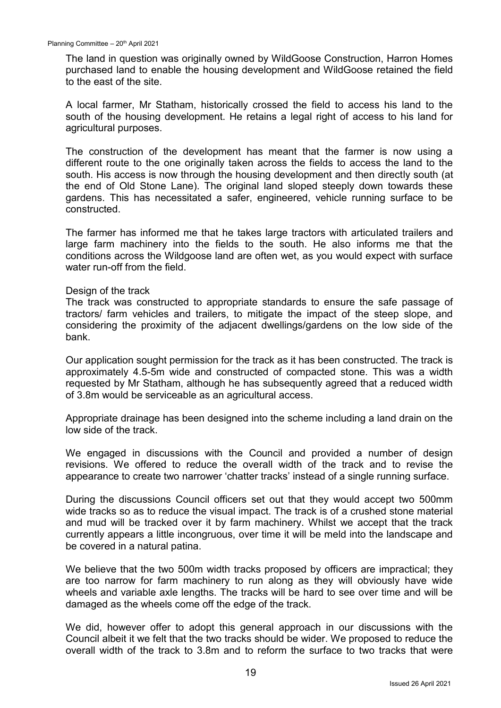The land in question was originally owned by WildGoose Construction, Harron Homes purchased land to enable the housing development and WildGoose retained the field to the east of the site.

A local farmer, Mr Statham, historically crossed the field to access his land to the south of the housing development. He retains a legal right of access to his land for agricultural purposes.

The construction of the development has meant that the farmer is now using a different route to the one originally taken across the fields to access the land to the south. His access is now through the housing development and then directly south (at the end of Old Stone Lane). The original land sloped steeply down towards these gardens. This has necessitated a safer, engineered, vehicle running surface to be constructed.

The farmer has informed me that he takes large tractors with articulated trailers and large farm machinery into the fields to the south. He also informs me that the conditions across the Wildgoose land are often wet, as you would expect with surface water run-off from the field.

#### Design of the track

The track was constructed to appropriate standards to ensure the safe passage of tractors/ farm vehicles and trailers, to mitigate the impact of the steep slope, and considering the proximity of the adjacent dwellings/gardens on the low side of the bank.

Our application sought permission for the track as it has been constructed. The track is approximately 4.5-5m wide and constructed of compacted stone. This was a width requested by Mr Statham, although he has subsequently agreed that a reduced width of 3.8m would be serviceable as an agricultural access.

Appropriate drainage has been designed into the scheme including a land drain on the low side of the track.

We engaged in discussions with the Council and provided a number of design revisions. We offered to reduce the overall width of the track and to revise the appearance to create two narrower 'chatter tracks' instead of a single running surface.

During the discussions Council officers set out that they would accept two 500mm wide tracks so as to reduce the visual impact. The track is of a crushed stone material and mud will be tracked over it by farm machinery. Whilst we accept that the track currently appears a little incongruous, over time it will be meld into the landscape and be covered in a natural patina.

We believe that the two 500m width tracks proposed by officers are impractical; they are too narrow for farm machinery to run along as they will obviously have wide wheels and variable axle lengths. The tracks will be hard to see over time and will be damaged as the wheels come off the edge of the track.

We did, however offer to adopt this general approach in our discussions with the Council albeit it we felt that the two tracks should be wider. We proposed to reduce the overall width of the track to 3.8m and to reform the surface to two tracks that were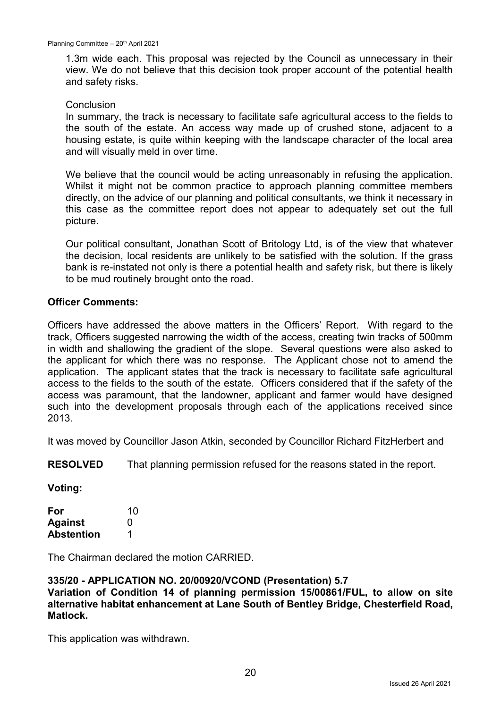1.3m wide each. This proposal was rejected by the Council as unnecessary in their view. We do not believe that this decision took proper account of the potential health and safety risks.

#### **Conclusion**

In summary, the track is necessary to facilitate safe agricultural access to the fields to the south of the estate. An access way made up of crushed stone, adjacent to a housing estate, is quite within keeping with the landscape character of the local area and will visually meld in over time.

We believe that the council would be acting unreasonably in refusing the application. Whilst it might not be common practice to approach planning committee members directly, on the advice of our planning and political consultants, we think it necessary in this case as the committee report does not appear to adequately set out the full picture.

Our political consultant, Jonathan Scott of Britology Ltd, is of the view that whatever the decision, local residents are unlikely to be satisfied with the solution. If the grass bank is re-instated not only is there a potential health and safety risk, but there is likely to be mud routinely brought onto the road.

#### **Officer Comments:**

Officers have addressed the above matters in the Officers' Report. With regard to the track, Officers suggested narrowing the width of the access, creating twin tracks of 500mm in width and shallowing the gradient of the slope. Several questions were also asked to the applicant for which there was no response. The Applicant chose not to amend the application. The applicant states that the track is necessary to facilitate safe agricultural access to the fields to the south of the estate. Officers considered that if the safety of the access was paramount, that the landowner, applicant and farmer would have designed such into the development proposals through each of the applications received since 2013.

It was moved by Councillor Jason Atkin, seconded by Councillor Richard FitzHerbert and

**RESOLVED** That planning permission refused for the reasons stated in the report.

**Voting:**

| For               | 10 |
|-------------------|----|
| <b>Against</b>    | O  |
| <b>Abstention</b> | 1  |

The Chairman declared the motion CARRIED.

#### **335/20 - APPLICATION NO. 20/00920/VCOND (Presentation) 5.7**

**Variation of Condition 14 of planning permission 15/00861/FUL, to allow on site alternative habitat enhancement at Lane South of Bentley Bridge, Chesterfield Road, Matlock.**

This application was withdrawn.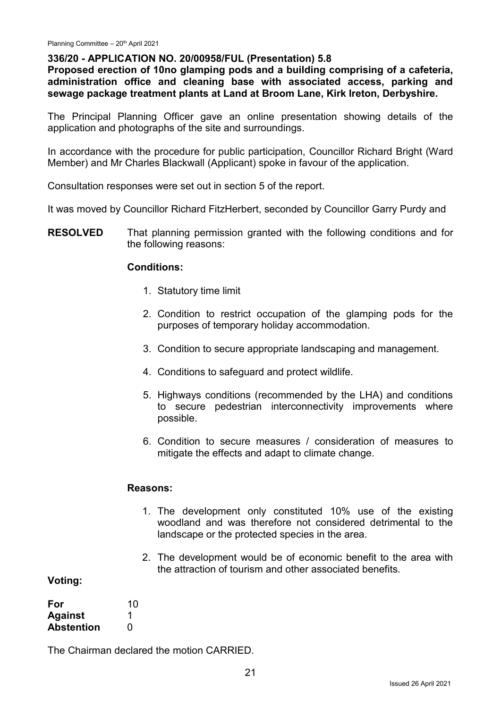#### **336/20 - APPLICATION NO. 20/00958/FUL (Presentation) 5.8**

**Proposed erection of 10no glamping pods and a building comprising of a cafeteria, administration office and cleaning base with associated access, parking and sewage package treatment plants at Land at Broom Lane, Kirk Ireton, Derbyshire.**

The Principal Planning Officer gave an online presentation showing details of the application and photographs of the site and surroundings.

In accordance with the procedure for public participation, Councillor Richard Bright (Ward Member) and Mr Charles Blackwall (Applicant) spoke in favour of the application.

Consultation responses were set out in section 5 of the report.

It was moved by Councillor Richard FitzHerbert, seconded by Councillor Garry Purdy and

**RESOLVED** That planning permission granted with the following conditions and for the following reasons:

#### **Conditions:**

- 1. Statutory time limit
- 2. Condition to restrict occupation of the glamping pods for the purposes of temporary holiday accommodation.
- 3. Condition to secure appropriate landscaping and management.
- 4. Conditions to safeguard and protect wildlife.
- 5. Highways conditions (recommended by the LHA) and conditions to secure pedestrian interconnectivity improvements where possible.
- 6. Condition to secure measures / consideration of measures to mitigate the effects and adapt to climate change.

#### **Reasons:**

- 1. The development only constituted 10% use of the existing woodland and was therefore not considered detrimental to the landscape or the protected species in the area.
- 2. The development would be of economic benefit to the area with the attraction of tourism and other associated benefits.

#### **Voting:**

| For               | 10 |
|-------------------|----|
| <b>Against</b>    |    |
| <b>Abstention</b> | O  |

The Chairman declared the motion CARRIED.